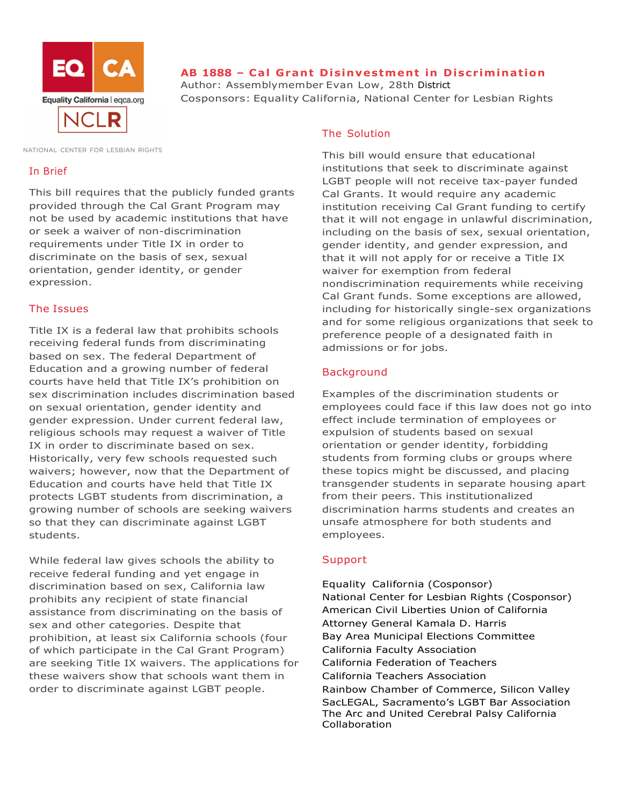

# **AB 1888 – Cal Grant Disinvestment in Discrimination**

Author: Assemblymember Evan Low, 28th District Cosponsors: Equality California, National Center for Lesbian Rights

NATIONAL CENTER FOR LESBIAN RIGHTS

#### In Brief

This bill requires that the publicly funded grants provided through the Cal Grant Program may not be used by academic institutions that have or seek a waiver of non-discrimination requirements under Title IX in order to discriminate on the basis of sex, sexual orientation, gender identity, or gender expression.

### The Issues

Title IX is a federal law that prohibits schools receiving federal funds from discriminating based on sex. The federal Department of Education and a growing number of federal courts have held that Title IX's prohibition on sex discrimination includes discrimination based on sexual orientation, gender identity and gender expression. Under current federal law, religious schools may request a waiver of Title IX in order to discriminate based on sex. Historically, very few schools requested such waivers; however, now that the Department of Education and courts have held that Title IX protects LGBT students from discrimination, a growing number of schools are seeking waivers so that they can discriminate against LGBT students.

While federal law gives schools the ability to receive federal funding and yet engage in discrimination based on sex, California law prohibits any recipient of state financial assistance from discriminating on the basis of sex and other categories. Despite that prohibition, at least six California schools (four of which participate in the Cal Grant Program) are seeking Title IX waivers. The applications for these waivers show that schools want them in order to discriminate against LGBT people.

### The Solution

This bill would ensure that educational institutions that seek to discriminate against LGBT people will not receive tax-payer funded Cal Grants. It would require any academic institution receiving Cal Grant funding to certify that it will not engage in unlawful discrimination, including on the basis of sex, sexual orientation, gender identity, and gender expression, and that it will not apply for or receive a Title IX waiver for exemption from federal nondiscrimination requirements while receiving Cal Grant funds. Some exceptions are allowed, including for historically single-sex organizations and for some religious organizations that seek to preference people of a designated faith in admissions or for jobs.

# **Background**

Examples of the discrimination students or employees could face if this law does not go into effect include termination of employees or expulsion of students based on sexual orientation or gender identity, forbidding students from forming clubs or groups where these topics might be discussed, and placing transgender students in separate housing apart from their peers. This institutionalized discrimination harms students and creates an unsafe atmosphere for both students and employees.

### Support

Equality California (Cosponsor) National Center for Lesbian Rights (Cosponsor) American Civil Liberties Union of California Attorney General Kamala D. Harris Bay Area Municipal Elections Committee California Faculty Association California Federation of Teachers California Teachers Association Rainbow Chamber of Commerce, Silicon Valley SacLEGAL, Sacramento's LGBT Bar Association The Arc and United Cerebral Palsy California Collaboration